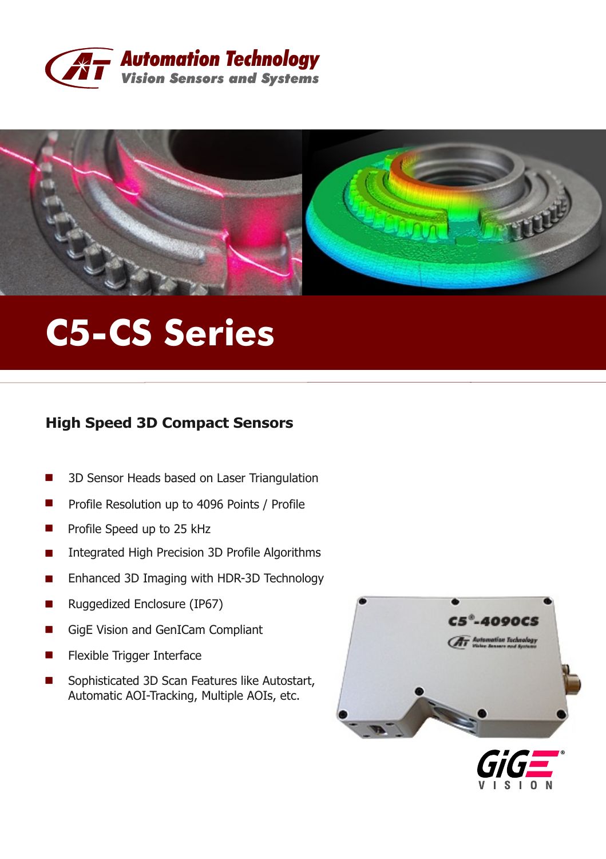



# **C5-CS Series**

## **High Speed 3D Compact Sensors**

- 3D Sensor Heads based on Laser Triangulation
- **Ta** Profile Resolution up to 4096 Points / Profile
- Profile Speed up to 25 kHz **The State**
- Integrated High Precision 3D Profile Algorithms
- Enhanced 3D Imaging with HDR-3D Technology
- Ruggedized Enclosure (IP67)
- GigE Vision and GenICam Compliant
- Flexible Trigger Interface
- Sophisticated 3D Scan Features like Autostart, Automatic AOI-Tracking, Multiple AOIs, etc.



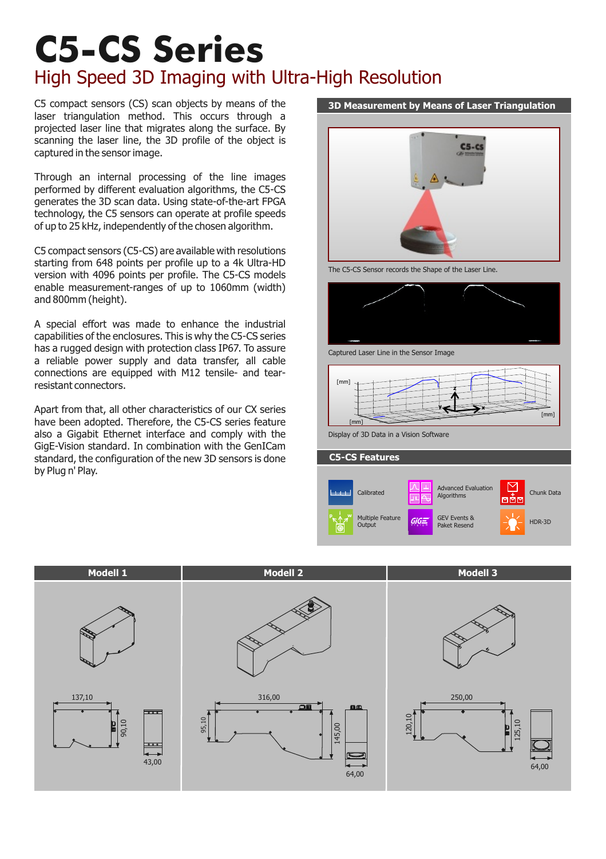## **C5-CS Series** High Speed 3D Imaging with Ultra-High Resolution

C5 compact sensors (CS) scan objects by means of the laser triangulation method. This occurs through a projected laser line that migrates along the surface. By scanning the laser line, the 3D profile of the object is captured in the sensor image.

Through an internal processing of the line images performed by different evaluation algorithms, the C5-CS generates the 3D scan data. Using state-of-the-art FPGA technology, the C5 sensors can operate at profile speeds of up to 25 kHz, independently of the chosen algorithm.

C5 compact sensors (C5-CS) are available with resolutions starting from 648 points per profile up to a 4k Ultra-HD version with 4096 points per profile. The C5-CS models enable measurement-ranges of up to 1060mm (width) and 800mm (height).

A special effort was made to enhance the industrial capabilities of the enclosures. This is why the C5-CS series has a rugged design with protection class IP67. To assure a reliable power supply and data transfer, all cable connections are equipped with M12 tensile- and tearresistant connectors.

Apart from that, all other characteristics of our CX series have been adopted. Therefore, the C5-CS series feature also a Gigabit Ethernet interface and comply with the GigE-Vision standard. In combination with the GenICam standard, the configuration of the new 3D sensors is done by Plug n' Play.



The C5-CS Sensor records the Shape of the Laser Line.



Captured Laser Line in the Sensor Image



Display of 3D Data in a Vision Software





#### **3D Measurement by Means of Laser Triangulation**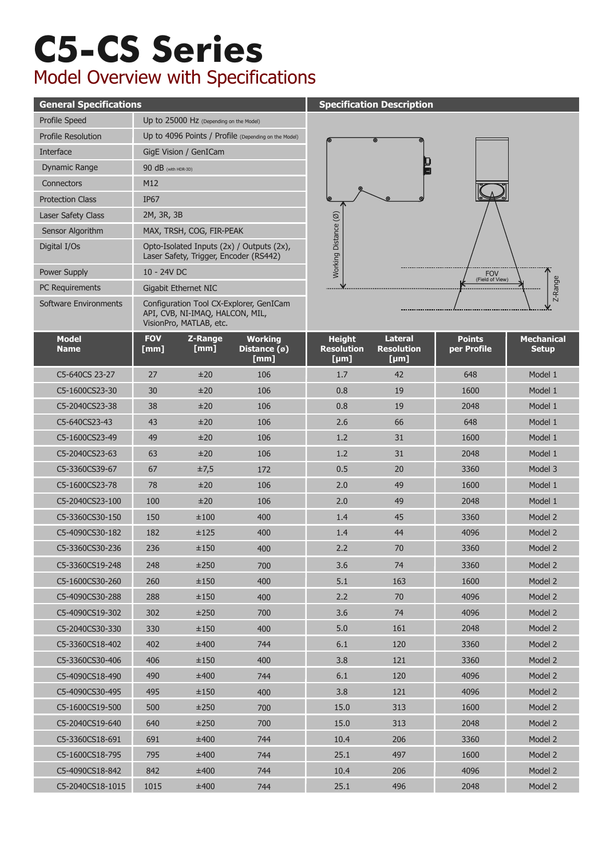## **C5-CS Series** Model Overview with Specifications

#### **General Specifications Specification Specification Description** Profile Speed Up to 25000 Hz (Depending on the Model) **Model Name** C5-2040CS23-63 C5-1600CS23-49 C5-2040CS23-38 C5-1600CS23-30 C5-640CS 23-27 C5-640CS23-43 **FOV [mm]** 63 49 38 30 27 43 **Z-Range [mm]** ±20 ±20 ±20 ±20 ±20 ±20 **Working Distance (ø) [mm]** 106 106 106 106 106 106 Interface Digital I/Os Laser Safety Class Protection Class GigE Vision / GenICam 2M, 3R, 3B IP67 Dynamic Range 90 dB (with HDR-3D) Connectors M12 Sensor Algorithm MAX, TRSH, COG, FIR-PEAK Power Supply 10 - 24V DC PC Requirements Gigabit Ethernet NIC Software Environments Configuration Tool CX-Explorer, GenICam API, CVB, NI-IMAQ, HALCON, MIL,  $VicionPre$ , MATLAB, etc. Opto-Isolated Inputs (2x) / Outputs (2x), Laser Safety, Trigger, Encoder (RS442) Profile Resolution Up to 4096 Points / Profile (Depending on the Model)



|                             | $\overline{v}$ is ignorming, in the top case. |                 |                                                  |                                            |                                             |                              |                                   |
|-----------------------------|-----------------------------------------------|-----------------|--------------------------------------------------|--------------------------------------------|---------------------------------------------|------------------------------|-----------------------------------|
| <b>Model</b><br><b>Name</b> | <b>FOV</b><br>[mm]                            | Z-Range<br>[mm] | <b>Working</b><br>Distance $(\emptyset)$<br>[mm] | <b>Height</b><br><b>Resolution</b><br>[µm] | <b>Lateral</b><br><b>Resolution</b><br>[µm] | <b>Points</b><br>per Profile | <b>Mechanical</b><br><b>Setup</b> |
| C5-640CS 23-27              | 27                                            | ±20             | 106                                              | 1.7                                        | 42                                          | 648                          | Model 1                           |
| C5-1600CS23-30              | 30                                            | ±20             | 106                                              | 0.8                                        | 19                                          | 1600                         | Model 1                           |
| C5-2040CS23-38              | 38                                            | ±20             | 106                                              | 0.8                                        | 19                                          | 2048                         | Model 1                           |
| C5-640CS23-43               | 43                                            | ±20             | 106                                              | 2.6                                        | 66                                          | 648                          | Model 1                           |
| C5-1600CS23-49              | 49                                            | ±20             | 106                                              | 1.2                                        | 31                                          | 1600                         | Model 1                           |
| C5-2040CS23-63              | 63                                            | ±20             | 106                                              | 1.2                                        | 31                                          | 2048                         | Model 1                           |
| C5-3360CS39-67              | 67                                            | ±7,5            | 172                                              | 0.5                                        | 20                                          | 3360                         | Model 3                           |
| C5-1600CS23-78              | 78                                            | ±20             | 106                                              | 2.0                                        | 49                                          | 1600                         | Model 1                           |
| C5-2040CS23-100             | 100                                           | ±20             | 106                                              | 2.0                                        | 49                                          | 2048                         | Model 1                           |
| C5-3360CS30-150             | 150                                           | ±100            | 400                                              | 1.4                                        | 45                                          | 3360                         | Model 2                           |
| C5-4090CS30-182             | 182                                           | ±125            | 400                                              | 1.4                                        | 44                                          | 4096                         | Model 2                           |
| C5-3360CS30-236             | 236                                           | ±150            | 400                                              | 2.2                                        | 70                                          | 3360                         | Model 2                           |
| C5-3360CS19-248             | 248                                           | ±250            | 700                                              | 3.6                                        | 74                                          | 3360                         | Model 2                           |
| C5-1600CS30-260             | 260                                           | ±150            | 400                                              | 5.1                                        | 163                                         | 1600                         | Model 2                           |
| C5-4090CS30-288             | 288                                           | ±150            | 400                                              | 2.2                                        | 70                                          | 4096                         | Model 2                           |
| C5-4090CS19-302             | 302                                           | ±250            | 700                                              | 3.6                                        | 74                                          | 4096                         | Model 2                           |
| C5-2040CS30-330             | 330                                           | ±150            | 400                                              | 5.0                                        | 161                                         | 2048                         | Model 2                           |
| C5-3360CS18-402             | 402                                           | ±400            | 744                                              | 6.1                                        | 120                                         | 3360                         | Model 2                           |
| C5-3360CS30-406             | 406                                           | ±150            | 400                                              | 3.8                                        | 121                                         | 3360                         | Model 2                           |
| C5-4090CS18-490             | 490                                           | ±400            | 744                                              | 6.1                                        | 120                                         | 4096                         | Model 2                           |
| C5-4090CS30-495             | 495                                           | ±150            | 400                                              | 3.8                                        | 121                                         | 4096                         | Model 2                           |
| C5-1600CS19-500             | 500                                           | ±250            | 700                                              | 15.0                                       | 313                                         | 1600                         | Model 2                           |
| C5-2040CS19-640             | 640                                           | ±250            | 700                                              | 15.0                                       | 313                                         | 2048                         | Model 2                           |
| C5-3360CS18-691             | 691                                           | ±400            | 744                                              | 10.4                                       | 206                                         | 3360                         | Model 2                           |
| C5-1600CS18-795             | 795                                           | ±400            | 744                                              | 25.1                                       | 497                                         | 1600                         | Model 2                           |
| C5-4090CS18-842             | 842                                           | ±400            | 744                                              | 10.4                                       | 206                                         | 4096                         | Model 2                           |
| C5-2040CS18-1015            | 1015                                          | ±400            | 744                                              | 25.1                                       | 496                                         | 2048                         | Model 2                           |